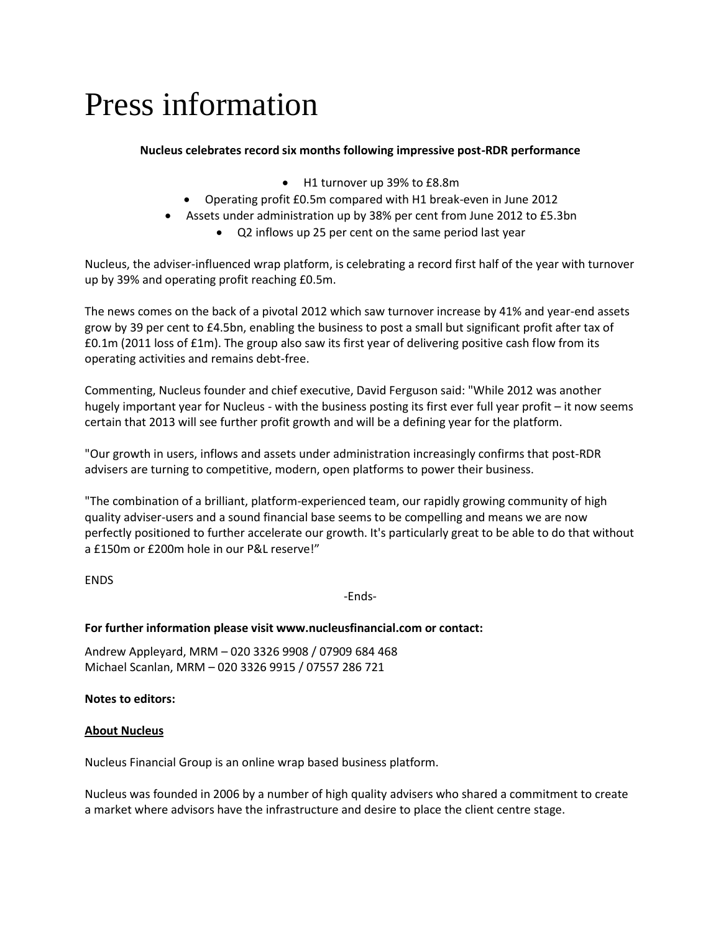# Press information

## **Nucleus celebrates record six months following impressive post-RDR performance**

- H1 turnover up 39% to £8.8m
- Operating profit £0.5m compared with H1 break-even in June 2012
- Assets under administration up by 38% per cent from June 2012 to £5.3bn
	- Q2 inflows up 25 per cent on the same period last year

Nucleus, the adviser-influenced wrap platform, is celebrating a record first half of the year with turnover up by 39% and operating profit reaching £0.5m.

The news comes on the back of a pivotal 2012 which saw turnover increase by 41% and year-end assets grow by 39 per cent to £4.5bn, enabling the business to post a small but significant profit after tax of £0.1m (2011 loss of £1m). The group also saw its first year of delivering positive cash flow from its operating activities and remains debt-free.

Commenting, Nucleus founder and chief executive, David Ferguson said: "While 2012 was another hugely important year for Nucleus - with the business posting its first ever full year profit – it now seems certain that 2013 will see further profit growth and will be a defining year for the platform.

"Our growth in users, inflows and assets under administration increasingly confirms that post-RDR advisers are turning to competitive, modern, open platforms to power their business.

"The combination of a brilliant, platform-experienced team, our rapidly growing community of high quality adviser-users and a sound financial base seems to be compelling and means we are now perfectly positioned to further accelerate our growth. It's particularly great to be able to do that without a £150m or £200m hole in our P&L reserve!"

ENDS

-Ends-

## **For further information please visit www.nucleusfinancial.com or contact:**

Andrew Appleyard, MRM – 020 3326 9908 / 07909 684 468 Michael Scanlan, MRM – 020 3326 9915 / 07557 286 721

## **Notes to editors:**

## **About Nucleus**

Nucleus Financial Group is an online wrap based business platform.

Nucleus was founded in 2006 by a number of high quality advisers who shared a commitment to create a market where advisors have the infrastructure and desire to place the client centre stage.